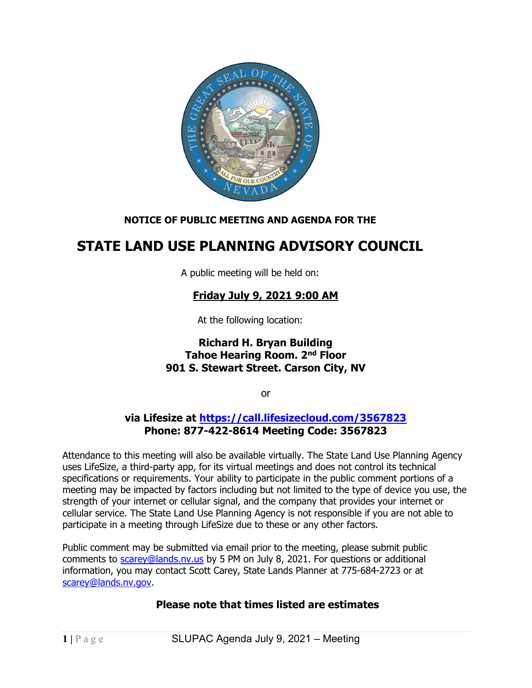

## NOTICE OF PUBLIC MEETING AND AGENDA FOR THE

# STATE LAND USE PLANNING ADVISORY COUNCIL

A public meeting will be held on:

# Friday July 9, 2021 9:00 AM

At the following location:

#### Richard H. Bryan Building Tahoe Hearing Room. 2nd Floor 901 S. Stewart Street. Carson City, NV

or

#### via Lifesize at https://call.lifesizecloud.com/3567823 Phone: 877-422-8614 Meeting Code: 3567823

Attendance to this meeting will also be available virtually. The State Land Use Planning Agency uses LifeSize, a third-party app, for its virtual meetings and does not control its technical specifications or requirements. Your ability to participate in the public comment portions of a meeting may be impacted by factors including but not limited to the type of device you use, the strength of your internet or cellular signal, and the company that provides your internet or cellular service. The State Land Use Planning Agency is not responsible if you are not able to participate in a meeting through LifeSize due to these or any other factors.

Public comment may be submitted via email prior to the meeting, please submit public comments to scarey@lands.nv.us by 5 PM on July 8, 2021. For questions or additional information, you may contact Scott Carey, State Lands Planner at 775-684-2723 or at scarey@lands.nv.gov.

#### Please note that times listed are estimates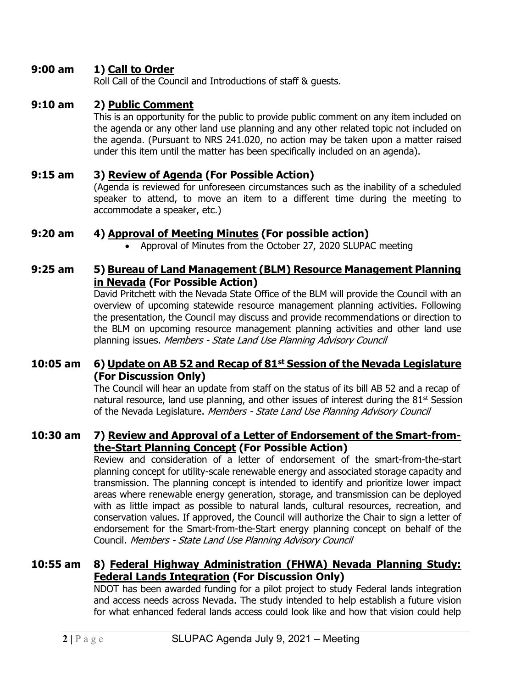### 9:00 am 1) Call to Order

Roll Call of the Council and Introductions of staff & guests.

#### 9:10 am 2) Public Comment

This is an opportunity for the public to provide public comment on any item included on the agenda or any other land use planning and any other related topic not included on the agenda. (Pursuant to NRS 241.020, no action may be taken upon a matter raised under this item until the matter has been specifically included on an agenda).

#### 9:15 am 3) Review of Agenda (For Possible Action)

(Agenda is reviewed for unforeseen circumstances such as the inability of a scheduled speaker to attend, to move an item to a different time during the meeting to accommodate a speaker, etc.)

#### 9:20 am 4) Approval of Meeting Minutes (For possible action)

Approval of Minutes from the October 27, 2020 SLUPAC meeting

#### 9:25 am 5) Bureau of Land Management (BLM) Resource Management Planning in Nevada (For Possible Action)

David Pritchett with the Nevada State Office of the BLM will provide the Council with an overview of upcoming statewide resource management planning activities. Following the presentation, the Council may discuss and provide recommendations or direction to the BLM on upcoming resource management planning activities and other land use planning issues. Members - State Land Use Planning Advisory Council

#### 10:05 am  $\,$  6) Update on AB 52 and Recap of 81st Session of the Nevada Legislature (For Discussion Only)

The Council will hear an update from staff on the status of its bill AB 52 and a recap of natural resource, land use planning, and other issues of interest during the  $81<sup>st</sup>$  Session of the Nevada Legislature. Members - State Land Use Planning Advisory Council

#### 10:30 am 7) Review and Approval of a Letter of Endorsement of the Smart-fromthe-Start Planning Concept (For Possible Action)

Review and consideration of a letter of endorsement of the smart-from-the-start planning concept for utility-scale renewable energy and associated storage capacity and transmission. The planning concept is intended to identify and prioritize lower impact areas where renewable energy generation, storage, and transmission can be deployed with as little impact as possible to natural lands, cultural resources, recreation, and conservation values. If approved, the Council will authorize the Chair to sign a letter of endorsement for the Smart-from-the-Start energy planning concept on behalf of the Council. Members - State Land Use Planning Advisory Council

### 10:55 am 8) Federal Highway Administration (FHWA) Nevada Planning Study: Federal Lands Integration (For Discussion Only)

NDOT has been awarded funding for a pilot project to study Federal lands integration and access needs across Nevada. The study intended to help establish a future vision for what enhanced federal lands access could look like and how that vision could help